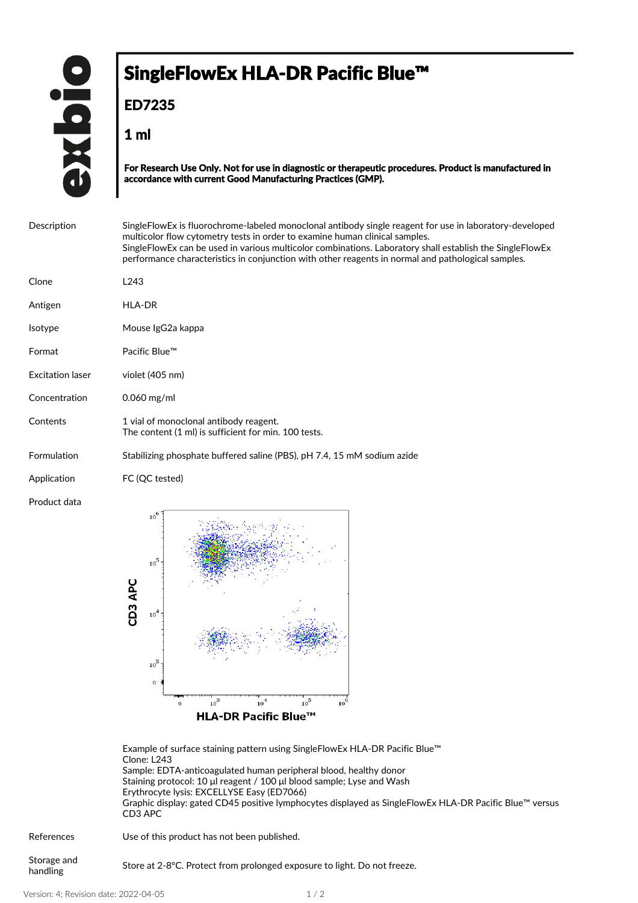## SingleFlowEx HLA-DR Pacific Blue™

**ED7235**

**1 ml**

**For Research Use Only. Not for use in diagnostic or therapeutic procedures. Product is manufactured in accordance with current Good Manufacturing Practices (GMP).**

| Description             | Single Flow Ex is fluorochrome-labeled monoclonal antibody single reagent for use in laboratory-developed<br>multicolor flow cytometry tests in order to examine human clinical samples.<br>SingleFlowEx can be used in various multicolor combinations. Laboratory shall establish the SingleFlowEx<br>performance characteristics in conjunction with other reagents in normal and pathological samples. |
|-------------------------|------------------------------------------------------------------------------------------------------------------------------------------------------------------------------------------------------------------------------------------------------------------------------------------------------------------------------------------------------------------------------------------------------------|
| Clone                   | L243                                                                                                                                                                                                                                                                                                                                                                                                       |
| Antigen                 | <b>HLA-DR</b>                                                                                                                                                                                                                                                                                                                                                                                              |
| <b>Isotype</b>          | Mouse IgG2a kappa                                                                                                                                                                                                                                                                                                                                                                                          |
| Format                  | Pacific Blue™                                                                                                                                                                                                                                                                                                                                                                                              |
| <b>Excitation laser</b> | violet (405 nm)                                                                                                                                                                                                                                                                                                                                                                                            |
| Concentration           | $0.060$ mg/ml                                                                                                                                                                                                                                                                                                                                                                                              |
| Contents                | 1 vial of monoclonal antibody reagent.<br>The content (1 ml) is sufficient for min. 100 tests.                                                                                                                                                                                                                                                                                                             |
| Formulation             | Stabilizing phosphate buffered saline (PBS), pH 7.4, 15 mM sodium azide                                                                                                                                                                                                                                                                                                                                    |
| Application             | FC (OC tested)                                                                                                                                                                                                                                                                                                                                                                                             |
| Product data            | 10 <sup>6</sup><br>Salaman Salaman Sala                                                                                                                                                                                                                                                                                                                                                                    |



Example of surface staining pattern using SingleFlowEx HLA-DR Pacific Blue™ Clone: L243 Sample: EDTA-anticoagulated human peripheral blood, healthy donor Staining protocol: 10 μl reagent / 100 μl blood sample; Lyse and Wash Erythrocyte lysis: EXCELLYSE Easy (ED7066) Graphic display: gated CD45 positive lymphocytes displayed as SingleFlowEx HLA-DR Pacific Blue™ versus CD3 APC

| References              | Use of this product has not been published.                               |
|-------------------------|---------------------------------------------------------------------------|
| Storage and<br>handling | Store at 2-8 °C. Protect from prolonged exposure to light. Do not freeze. |